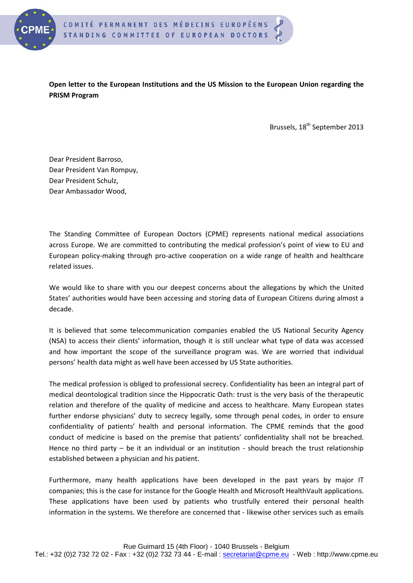

**Open letter to the European Institutions and the US Mission to the European Union regarding the PRISM Program**

Brussels, 18<sup>th</sup> September 2013

Dear President Barroso, Dear President Van Rompuy, Dear President Schulz, Dear Ambassador Wood,

The Standing Committee of European Doctors (CPME) represents national medical associations across Europe. We are committed to contributing the medical profession's point of view to EU and European policy-making through pro-active cooperation on a wide range of health and healthcare related issues.

We would like to share with you our deepest concerns about the allegations by which the United States' authorities would have been accessing and storing data of European Citizens during almost a decade.

It is believed that some telecommunication companies enabled the US National Security Agency (NSA) to access their clients' information, though it is still unclear what type of data was accessed and how important the scope of the surveillance program was. We are worried that individual persons' health data might as well have been accessed by US State authorities.

The medical profession is obliged to professional secrecy. Confidentiality has been an integral part of medical deontological tradition since the Hippocratic Oath: trust is the very basis of the therapeutic relation and therefore of the quality of medicine and access to healthcare. Many European states further endorse physicians' duty to secrecy legally, some through penal codes, in order to ensure confidentiality of patients' health and personal information. The CPME reminds that the good conduct of medicine is based on the premise that patients' confidentiality shall not be breached. Hence no third party – be it an individual or an institution - should breach the trust relationship established between a physician and his patient.

Furthermore, many health applications have been developed in the past years by major IT companies; this is the case for instance for the Google Health and Microsoft HealthVault applications. These applications have been used by patients who trustfully entered their personal health information in the systems. We therefore are concerned that - likewise other services such as emails